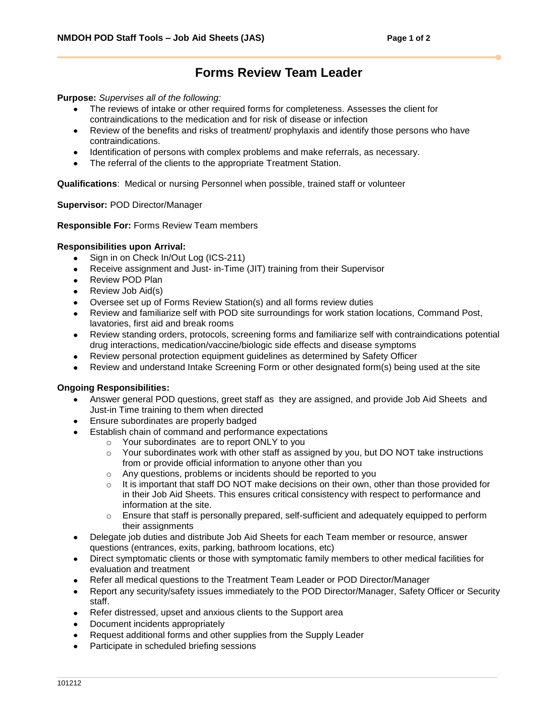# **Forms Review Team Leader**

**Purpose:** *Supervises all of the following:*

- The reviews of intake or other required forms for completeness. Assesses the client for contraindications to the medication and for risk of disease or infection
- Review of the benefits and risks of treatment/ prophylaxis and identify those persons who have  $\bullet$ contraindications.
- Identification of persons with complex problems and make referrals, as necessary.
- The referral of the clients to the appropriate Treatment Station.

**Qualifications**: Medical or nursing Personnel when possible, trained staff or volunteer

#### **Supervisor:** POD Director/Manager

#### **Responsible For:** Forms Review Team members

#### **Responsibilities upon Arrival:**

- Sign in on Check In/Out Log (ICS-211)
- Receive assignment and Just- in-Time (JIT) training from their Supervisor
- Review POD Plan  $\bullet$
- Review Job Aid(s)
- Oversee set up of Forms Review Station(s) and all forms review duties
- Review and familiarize self with POD site surroundings for work station locations, Command Post, lavatories, first aid and break rooms
- Review standing orders, protocols, screening forms and familiarize self with contraindications potential  $\bullet$ drug interactions, medication/vaccine/biologic side effects and disease symptoms
- Review personal protection equipment guidelines as determined by Safety Officer
- Review and understand Intake Screening Form or other designated form(s) being used at the site

## **Ongoing Responsibilities:**

- Answer general POD questions, greet staff as they are assigned, and provide Job Aid Sheets and  $\bullet$ Just-in Time training to them when directed
- Ensure subordinates are properly badged
- Establish chain of command and performance expectations
	- o Your subordinates are to report ONLY to you
	- $\circ$  Your subordinates work with other staff as assigned by you, but DO NOT take instructions from or provide official information to anyone other than you
	- o Any questions, problems or incidents should be reported to you
	- $\circ$  It is important that staff DO NOT make decisions on their own, other than those provided for in their Job Aid Sheets. This ensures critical consistency with respect to performance and information at the site.
	- $\circ$  Ensure that staff is personally prepared, self-sufficient and adequately equipped to perform their assignments
- Delegate job duties and distribute Job Aid Sheets for each Team member or resource, answer questions (entrances, exits, parking, bathroom locations, etc)
- Direct symptomatic clients or those with symptomatic family members to other medical facilities for evaluation and treatment
- Refer all medical questions to the Treatment Team Leader or POD Director/Manager
- Report any security/safety issues immediately to the POD Director/Manager, Safety Officer or Security staff.
- Refer distressed, upset and anxious clients to the Support area  $\bullet$
- Document incidents appropriately
- Request additional forms and other supplies from the Supply Leader
- Participate in scheduled briefing sessions